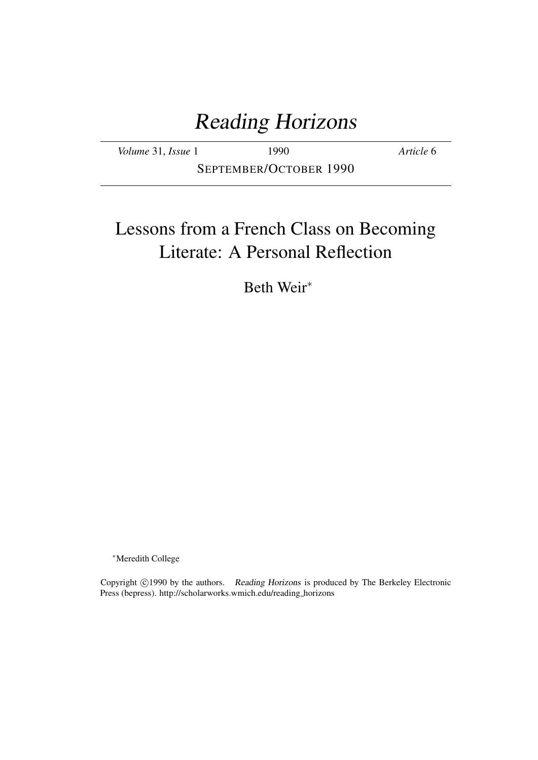# Reading Horizons

| Volume 31, Issue 1     | 1990 | Article 6 |
|------------------------|------|-----------|
| SEPTEMBER/OCTOBER 1990 |      |           |

# Lessons from a French Class on Becoming Literate: A Personal Reflection

Beth Weir<sup>∗</sup>

<sup>∗</sup>Meredith College

Copyright ©1990 by the authors. Reading Horizons is produced by The Berkeley Electronic Press (bepress). http://scholarworks.wmich.edu/reading horizons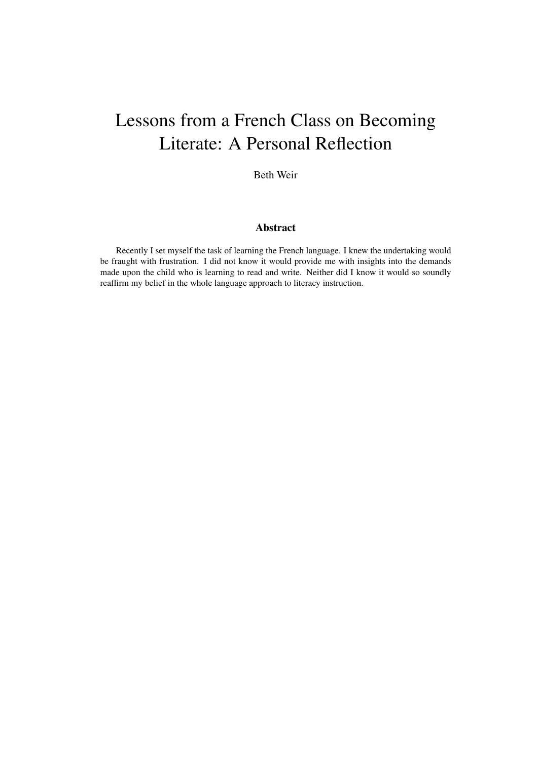# Lessons from a French Class on Becoming Literate: A Personal Reflection

Beth Weir

### Abstract

Recently I set myself the task of learning the French language. I knew the undertaking would be fraught with frustration. I did not know it would provide me with insights into the demands made upon the child who is learning to read and write. Neither did I know it would so soundly reaffirm my belief in the whole language approach to literacy instruction.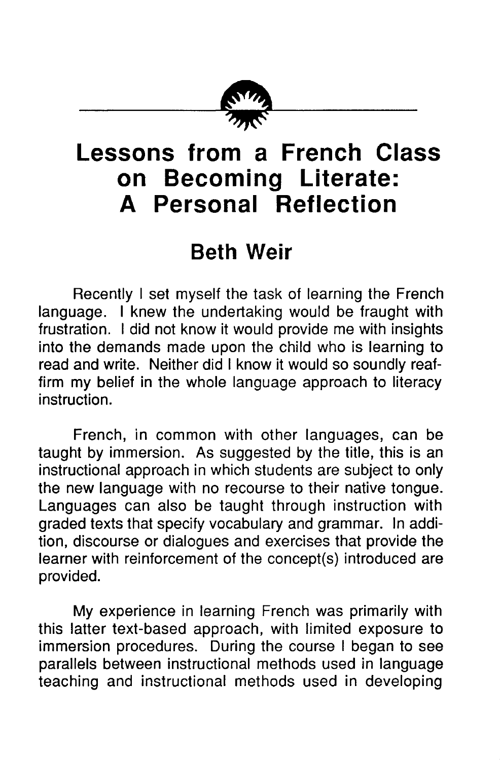

# **Lessons from a French Class on Becoming Literate: A Personal Reflection**

## **Beth Weir**

Recently I set myself the task of learning the French language. I knew the undertaking would be fraught with frustration. I did not know it would provide me with insights into the demands made upon the child who is learning to read and write. Neither did I know it would so soundly reaffirm my belief in the whole language approach to literacy instruction.

French, in common with other languages, can be taught by immersion. As suggested by the title, this is an instructional approach in which students are subject to only the new language with no recourse to their native tongue. Languages can also be taught through instruction with graded texts that specify vocabulary and grammar. In addition, discourse or dialogues and exercises that provide the learner with reinforcement of the concept(s) introduced are provided.

My experience in learning French was primarily with this latter text-based approach, with limited exposure to immersion procedures. During the course I began to see parallels between instructional methods used in language teaching and instructional methods used in developing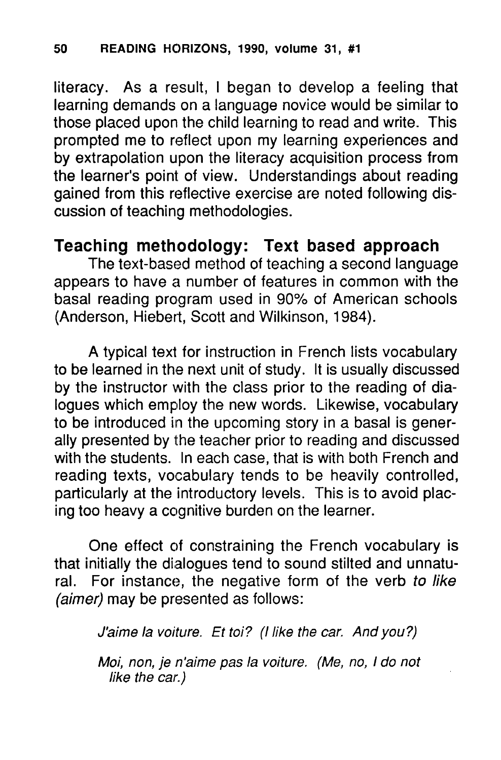literacy. As a result, I began to develop a feeling that learning demands on a language novice would be similar to those placed upon the child learning to read and write. This prompted me to reflect upon my learning experiences and by extrapolation upon the literacy acquisition process from the learner's point of view. Understandings about reading gained from this reflective exercise are noted following discussion of teaching methodologies.

## **Teaching methodology: Text based approach**

The text-based method of teaching a second language appears to have a number of features in common with the basal reading program used in 90% of American schools (Anderson, Hiebert, Scott and Wilkinson, 1984).

A typical text for instruction in French lists vocabulary to be learned in the next unit of study. It is usually discussed by the instructor with the class prior to the reading of dialogues which employ the new words. Likewise, vocabulary to be introduced in the upcoming story in a basal is generally presented by the teacher prior to reading and discussed with the students. In each case, that is with both French and reading texts, vocabulary tends to be heavily controlled, particularly at the introductory levels. This is to avoid placing too heavy a cognitive burden on the learner.

One effect of constraining the French vocabulary is that initially the dialogues tend to sound stilted and unnatural. For instance, the negative form of the verb to like (aimer) may be presented as follows:

J'aime la voiture. Et toi? *(I* like the car. And you?)

Moi, non, je n'aime pas la voiture. (Me, no, 1 do not like the car.)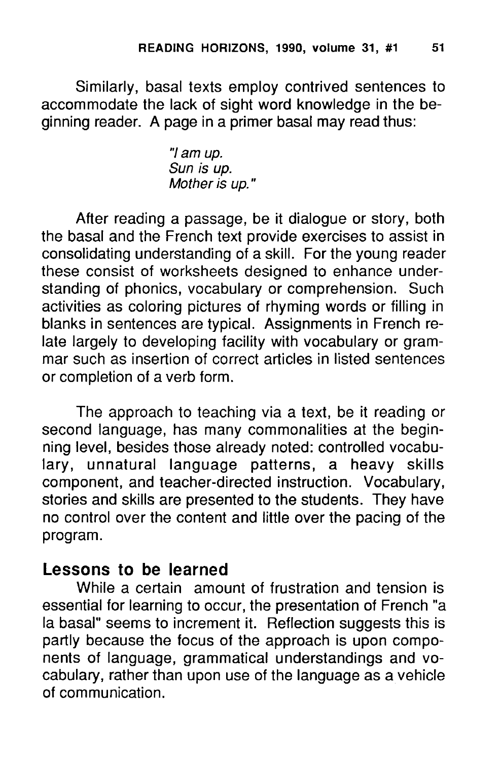Similarly, basal texts employ contrived sentences to accommodate the lack of sight word knowledge in the beginning reader. A page in a primer basal may read thus:

> "/ am up. Sun is up. Mother is up. "

After reading a passage, be it dialogue or story, both the basal and the French text provide exercises to assist in consolidating understanding of a skill. For the young reader these consist of worksheets designed to enhance understanding of phonics, vocabulary or comprehension. Such activities as coloring pictures of rhyming words or filling in blanks in sentences are typical. Assignments in French relate largely to developing facility with vocabulary or grammar such as insertion of correct articles in listed sentences or completion of a verb form.

The approach to teaching via a text, be it reading or second language, has many commonalities at the beginning level, besides those already noted: controlled vocabulary, unnatural language patterns, a heavy skills component, and teacher-directed instruction. Vocabulary, stories and skills are presented to the students. They have no control over the content and little over the pacing of the program.

### **Lessons to be learned**

While a certain amount of frustration and tension is essential for learning to occur, the presentation of French "a la basal" seems to increment it. Reflection suggests this is partly because the focus of the approach is upon components of language, grammatical understandings and vocabulary, rather than upon use of the language as a vehicle of communication.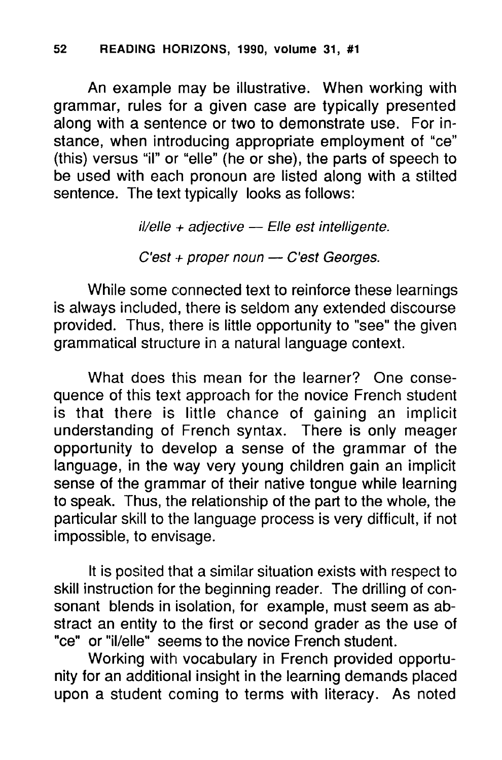### 52 READING HORIZONS, 1990, volume 31, #1

An example may be illustrative. When working with grammar, rules for a given case are typically presented along with a sentence or two to demonstrate use. For instance, when introducing appropriate employment of "ce" (this) versus "iI" or "elle" (he or she), the parts of speech to be used with each pronoun are listed along with a stilted sentence. The text typically looks as follows:

 $il$ /elle + adjective  $-$  Elle est intelligente.

 $C'est + proper noun - C'est Georges.$ 

While some connected text to reinforce these learnings is always included, there is seldom any extended discourse provided. Thus, there is little opportunity to "see" the given grammatical structure in a natural language context.

What does this mean for the learner? One consequence of this text approach for the novice French student is that there is little chance of gaining an implicit understanding of French syntax. There is only meager opportunity to develop a sense of the grammar of the language, in the way very young children gain an implicit sense of the grammar of their native tongue while learning to speak. Thus, the relationship of the part to the whole, the particular skill to the language process is very difficult, if not impossible, to envisage.

It is posited that a similar situation exists with respect to skill instruction for the beginning reader. The drilling of consonant blends in isolation, for example, must seem as abstract an entity to the first or second grader as the use of "ce" or "il/elle" seems to the novice French student.

Working with vocabulary in French provided opportunity for an additional insight in the learning demands placed upon a student coming to terms with literacy. As noted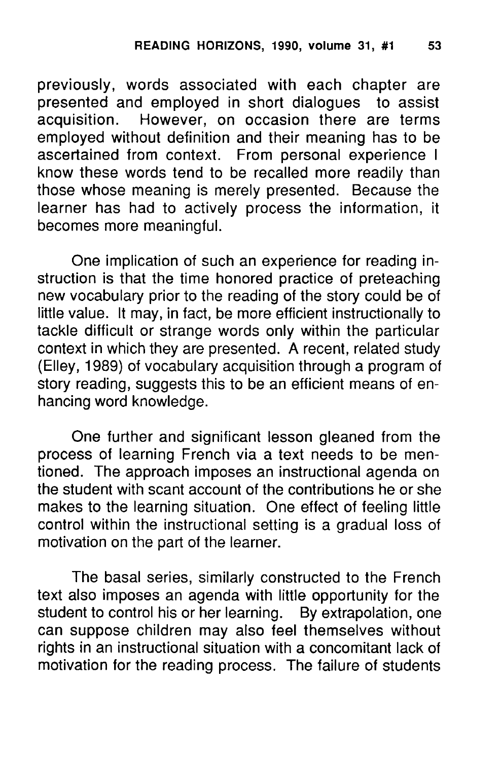previously, words associated with each chapter are presented and employed in short dialogues to assist acquisition. However, on occasion there are terms However, on occasion there are terms employed without definition and their meaning has to be ascertained from context. From personal experience I know these words tend to be recalled more readily than those whose meaning is merely presented. Because the learner has had to actively process the information, it becomes more meaningful.

One implication of such an experience for reading instruction is that the time honored practice of preteaching new vocabulary prior to the reading of the story could be of little value. It may, in fact, be more efficient instructionally to tackle difficult or strange words only within the particular context in which they are presented. A recent, related study (Elley, 1989) of vocabulary acquisition through a program of story reading, suggests this to be an efficient means of enhancing word knowledge.

One further and significant lesson gleaned from the process of learning French via a text needs to be mentioned. The approach imposes an instructional agenda on the student with scant account of the contributions he or she makes to the learning situation. One effect of feeling little control within the instructional setting is a gradual loss of motivation on the part of the learner.

The basal series, similarly constructed to the French text also imposes an agenda with little opportunity for the student to control his or her learning. By extrapolation, one can suppose children may also feel themselves without rights in an instructional situation with a concomitant lack of motivation for the reading process. The failure of students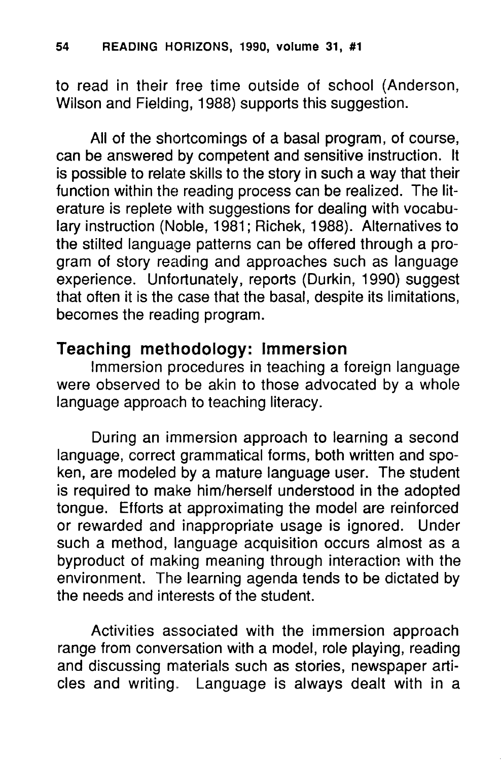to read in their free time outside of school (Anderson, Wilson and Fielding, 1988) supports this suggestion.

All of the shortcomings of a basal program, of course, can be answered by competent and sensitive instruction. It is possible to relate skills to the story in such a way that their function within the reading process can be realized. The literature is replete with suggestions for dealing with vocabulary instruction (Noble, 1981; Richek, 1988). Alternatives to the stilted language patterns can be offered through a program of story reading and approaches such as language experience. Unfortunately, reports (Durkin, 1990) suggest that often it is the case that the basal, despite its limitations, becomes the reading program.

## **Teaching methodology: Immersion**

Immersion procedures in teaching a foreign language were observed to be akin to those advocated by a whole language approach to teaching literacy.

During an immersion approach to learning a second language, correct grammatical forms, both written and spoken, are modeled by a mature language user. The student is required to make him/herself understood in the adopted tongue. Efforts at approximating the model are reinforced or rewarded and inappropriate usage is ignored. Under such a method, language acquisition occurs almost as a byproduct of making meaning through interaction with the environment. The learning agenda tends to be dictated by the needs and interests of the student.

Activities associated with the immersion approach range from conversation with a model, role playing, reading and discussing materials such as stories, newspaper articles and writing. Language is always dealt with in a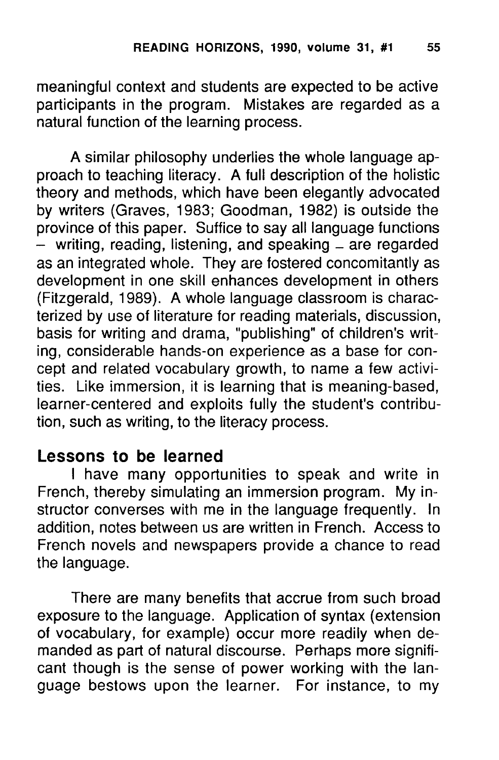meaningful context and students are expected to be active participants in the program. Mistakes are regarded as a natural function of the learning process.

A similar philosophy underlies the whole language approach to teaching literacy. A full description of the holistic theory and methods, which have been elegantly advocated by writers (Graves, 1983; Goodman, 1982) is outside the province of this paper. Suffice to say all language functions  $-$  writing, reading, listening, and speaking  $-$  are regarded as an integrated whole. They are fostered concomitantly as development in one skill enhances development in others (Fitzgerald, 1989). A whole language classroom is characterized by use of literature for reading materials, discussion, basis for writing and drama, "publishing" of children's writing, considerable hands-on experience as a base for concept and related vocabulary growth, to name a few activities. Like immersion, it is learning that is meaning-based, learner-centered and exploits fully the student's contribution, such as writing, to the literacy process.

### **Lessons to be learned**

I have many opportunities to speak and write in French, thereby simulating an immersion program. My instructor converses with me in the language frequently. In addition, notes between us are written in French. Access to French novels and newspapers provide a chance to read the language.

There are many benefits that accrue from such broad exposure to the language. Application of syntax (extension of vocabulary, for example) occur more readily when demanded as part of natural discourse. Perhaps more significant though is the sense of power working with the language bestows upon the learner. For instance, to my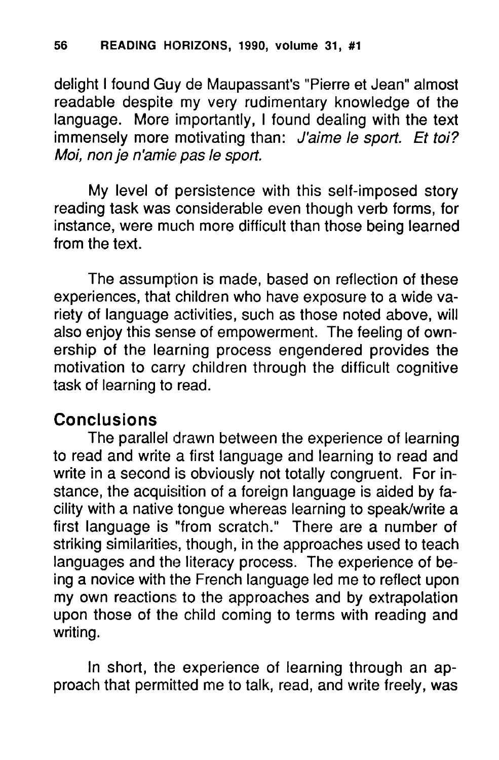delight I found Guy de Maupassant's "Pierre et Jean" almost readable despite my very rudimentary knowledge of the language. More importantly, I found dealing with the text immensely more motivating than: J'aime le sport. Et toi? Moi, non je n'amie pas le sport.

My level of persistence with this self-imposed story reading task was considerable even though verb forms, for instance, were much more difficult than those being learned from the text.

The assumption is made, based on reflection of these experiences, that children who have exposure to a wide variety of language activities, such as those noted above, will also enjoy this sense of empowerment. The feeling of ownership of the learning process engendered provides the motivation to carry children through the difficult cognitive task of learning to read.

## **Conclusions**

The parallel drawn between the experience of learning to read and write a first language and learning to read and write in a second is obviously not totally congruent. For instance, the acquisition of a foreign language is aided by facility with a native tongue whereas learning to speak/write a First language is "from scratch." There are a number of striking similarities, though, in the approaches used to teach languages and the literacy process. The experience of being a novice with the French language led me to reflect upon my own reactions to the approaches and by extrapolation upon those of the child coming to terms with reading and writing.

In short, the experience of learning through an approach that permitted me to talk, read, and write freely, was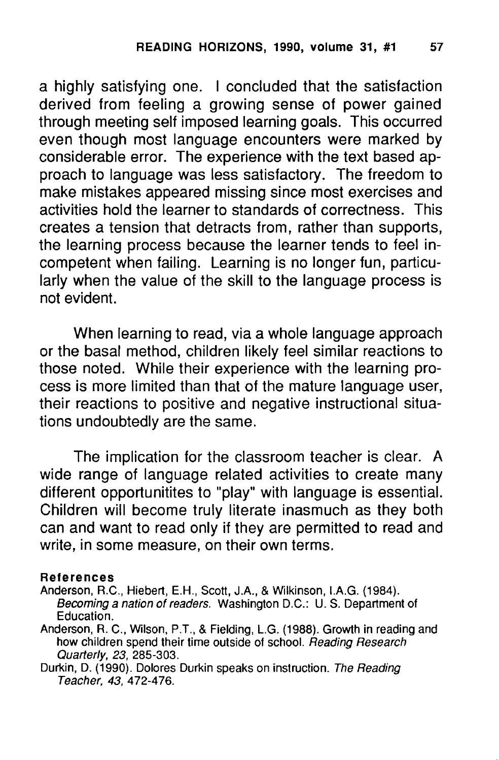a highly satisfying one. I concluded that the satisfaction derived from feeling a growing sense of power gained through meeting self imposed learning goals. This occurred even though most language encounters were marked by considerable error. The experience with the text based approach to language was less satisfactory. The freedom to make mistakes appeared missing since most exercises and activities hold the learner to standards of correctness. This creates a tension that detracts from, rather than supports, the learning process because the learner tends to feel incompetent when failing. Learning is no longer fun, particularly when the value of the skill to the language process is not evident.

When learning to read, via a whole language approach or the basal method, children likely feel similar reactions to those noted. While their experience with the learning process is more limited than that of the mature language user, their reactions to positive and negative instructional situations undoubtedly are the same.

The implication for the classroom teacher is clear. A wide range of language related activities to create many different opportunitites to "play" with language is essential. Children will become truly literate inasmuch as they both can and want to read only if they are permitted to read and write, in some measure, on their own terms.

#### References

Anderson, R.C., Hiebert, E.H., Scott, J.A., & Wilkinson, I.A.G. (1984). Becoming a nation of readers. Washington D.C.: U. S. Department of Education.

- Anderson, R. C., Wilson, P.T., & Fielding, L.G. (1988). Growth in reading and how children spend their time outside of school. Reading Research Quarterly, 23, 285-303.
- Durkin, D. (1990). Dolores Durkin speaks on instruction. The Reading Teacher, 43, 472-476.